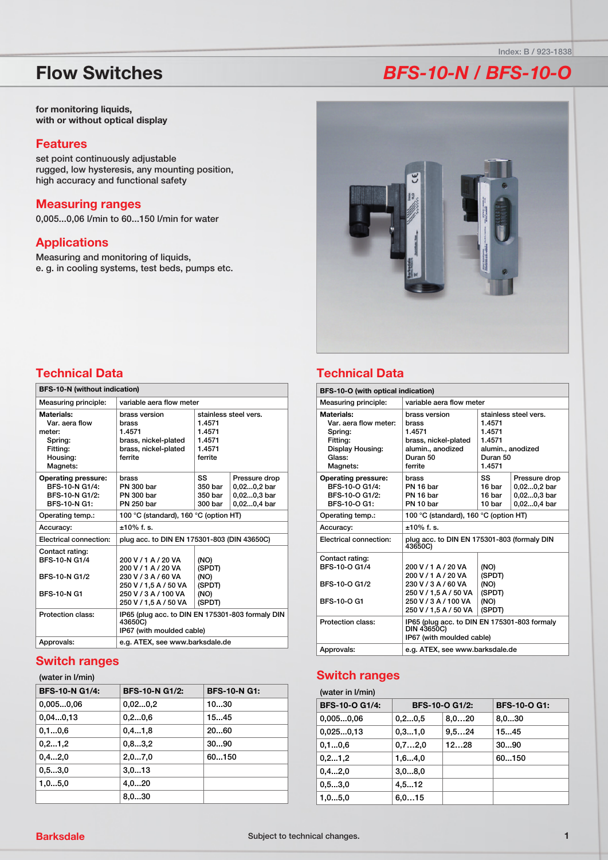# **Flow Switches**

for monitoring liquids, with or without optical display

#### **Features**

set point continuously adjustable rugged, low hysteresis, any mounting position, high accuracy and functional safety

#### **Measuring ranges**

0,005...0,06 l/min to 60...150 l/min for water

### **Applications**

Measuring and monitoring of liquids, e. g. in cooling systems, test beds, pumps etc.

# **BFS-10-N / BFS-10-O**

Index: B / 923-1838



## **Technical Data**

| <b>BFS-10-N (without indication)</b>                                                  |                                                                                             |                                                 |                                                              |
|---------------------------------------------------------------------------------------|---------------------------------------------------------------------------------------------|-------------------------------------------------|--------------------------------------------------------------|
| Measuring principle:                                                                  | variable aera flow meter                                                                    |                                                 |                                                              |
| Materials:<br>Var. aera flow<br>meter:<br>Spring:<br>Fitting:<br>Housing:<br>Magnets: | brass version<br>brass<br>1.4571<br>brass, nickel-plated<br>brass, nickel-plated<br>ferrite | 1.4571<br>1.4571<br>1.4571<br>1.4571<br>ferrite | stainless steel vers.                                        |
| <b>Operating pressure:</b><br>BFS-10-N G1/4:<br>BFS-10-N G1/2:<br>BFS-10-N G1:        | brass<br><b>PN 300 bar</b><br><b>PN 300 bar</b><br><b>PN 250 bar</b>                        | SS<br>350 bar<br>350 bar<br>300 bar             | Pressure drop<br>0,020,2 bar<br>0,020,3 bar<br>$0.020.4$ bar |
| Operating temp.:                                                                      | 100 °C (standard), 160 °C (option HT)                                                       |                                                 |                                                              |
| Accuracy:                                                                             | $+10\%$ f. s.                                                                               |                                                 |                                                              |
| Electrical connection:                                                                | plug acc. to DIN EN 175301-803 (DIN 43650C)                                                 |                                                 |                                                              |
| Contact rating:<br>BFS-10-N G1/4<br>BFS-10-N G1/2                                     | 200 V / 1 A / 20 VA<br>200 V / 1 A / 20 VA<br>230 V / 3 A / 60 VA                           | (NO)<br>(SPDT)<br>(NO)                          |                                                              |
| <b>BFS-10-N G1</b>                                                                    | 250 V / 1,5 A / 50 VA<br>250 V / 3 A / 100 VA<br>250 V / 1,5 A / 50 VA                      | (SPDT)<br>(NO)<br>(SPDT)                        |                                                              |
| Protection class:                                                                     | IP65 (plug acc. to DIN EN 175301-803 formaly DIN<br>43650C)<br>IP67 (with moulded cable)    |                                                 |                                                              |
| Approvals:                                                                            | e.g. ATEX, see www.barksdale.de                                                             |                                                 |                                                              |

#### **Switch ranges**

#### (water in I/min)

| <b>BFS-10-N G1/4:</b> | <b>BFS-10-N G1/2:</b> | <b>BFS-10-N G1:</b> |
|-----------------------|-----------------------|---------------------|
| 0,0050,06             | 0,020,2               | 1030                |
| 0,040,13              | 0, 20, 6              | 1545                |
| 0.10.6                | 0, 41, 8              | 2060                |
| 0, 2, 1, 2            | 0, 83, 2              | 3090                |
| 0, 42, 0              | 2,07,0                | 60150               |
| 0, 53, 0              | 3,013                 |                     |
| 1,05,0                | 4,020                 |                     |
|                       | 8.030                 |                     |

## **Technical Data**

| <b>BFS-10-O (with optical indication)</b>                                                            |                                                                                                                                                                                                        |                                                    |                                                            |
|------------------------------------------------------------------------------------------------------|--------------------------------------------------------------------------------------------------------------------------------------------------------------------------------------------------------|----------------------------------------------------|------------------------------------------------------------|
| Measuring principle:                                                                                 | variable aera flow meter                                                                                                                                                                               |                                                    |                                                            |
| Materials:<br>Var. aera flow meter:<br>Spring:<br>Fitting:<br>Display Housing:<br>Glass:<br>Magnets: | stainless steel vers.<br>brass version<br>1.4571<br>brass<br>1.4571<br>1.4571<br>brass, nickel-plated<br>1.4571<br>alumin., anodized<br>alumin., anodized<br>Duran 50<br>Duran 50<br>ferrite<br>1.4571 |                                                    |                                                            |
| <b>Operating pressure:</b><br>BFS-10-O G1/4:<br>BFS-10-Q G1/2:<br>BFS-10-O G1:                       | brass<br>PN 16 bar<br>PN 16 bar<br>PN 10 har                                                                                                                                                           | SS<br>16 har<br>16 bar<br>10 bar                   | Pressure drop<br>0,020,2 bar<br>0,020,3 bar<br>0,020,4 bar |
| Operating temp.:                                                                                     | 100 °C (standard), 160 °C (option HT)                                                                                                                                                                  |                                                    |                                                            |
| Accuracy:                                                                                            | $±10\%$ f. s.                                                                                                                                                                                          |                                                    |                                                            |
| <b>Electrical connection:</b>                                                                        | plug acc. to DIN EN 175301-803 (formaly DIN<br>43650C)                                                                                                                                                 |                                                    |                                                            |
| Contact rating:<br>BFS-10-Q G1/4<br>BFS-10-O G1/2<br>BFS-10-O G1                                     | 200 V / 1 A / 20 VA<br>200 V / 1 A / 20 VA<br>230 V / 3 A / 60 VA<br>250 V / 1,5 A / 50 VA<br>250 V / 3 A / 100 VA<br>250 V / 1,5 A / 50 VA                                                            | (NO)<br>(SPDT)<br>(NO)<br>(SPDT)<br>(NO)<br>(SPDT) |                                                            |
| Protection class:                                                                                    | IP65 (plug acc. to DIN EN 175301-803 formaly<br>DIN 43650C)<br>IP67 (with moulded cable)                                                                                                               |                                                    |                                                            |
| Approvals:                                                                                           | e.g. ATEX, see www.barksdale.de                                                                                                                                                                        |                                                    |                                                            |

### **Switch ranges**

(water in I/min)

| <b>BFS-10-O G1/4:</b> | <b>BFS-10-O G1/2:</b> |        | <b>BFS-10-O G1:</b> |
|-----------------------|-----------------------|--------|---------------------|
| 0,0050,06             | 0, 20, 5              | 8,020  | 8,030               |
| 0,0250,13             | 0,31,0                | 9, 524 | 1545                |
| 0.10.6                | 0,72,0                | 12…28  | 3090                |
| 0, 2, 1, 2            | 1,64,0                |        | 60150               |
| 0, 42, 0              | 3,08,0                |        |                     |
| 0, 53, 0              | 4, 512                |        |                     |
| 1,05,0                | 6,015                 |        |                     |